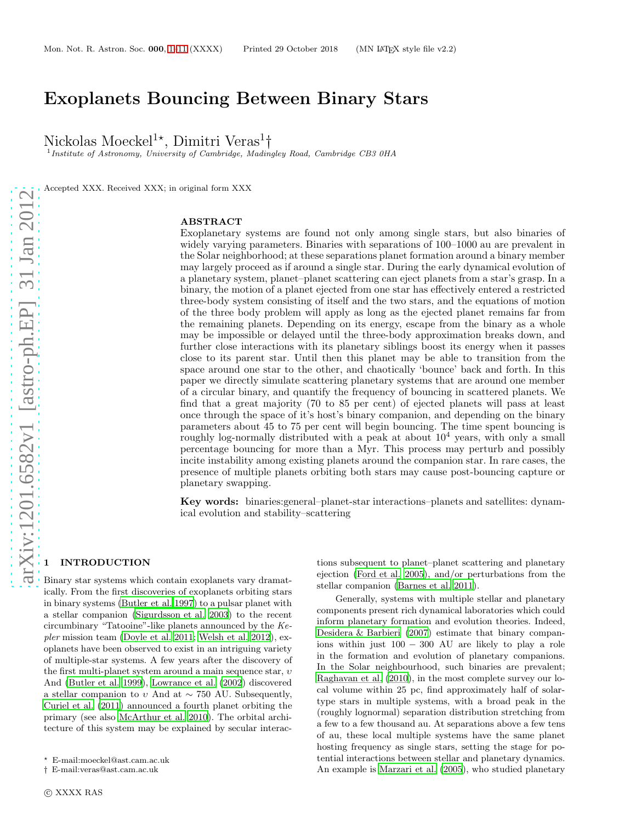# Exoplanets Bouncing Between Binary Stars

Nickolas Moeckel<sup>1\*</sup>, Dimitri Veras<sup>1</sup>†

<sup>1</sup> Institute of Astronomy, University of Cambridge, Madingley Road, Cambridge CB3 0HA

Accepted XXX. Received XXX; in original form XXX

# ABSTRACT

Exoplanetary systems are found not only among single stars, but also binaries of widely varying parameters. Binaries with separations of 100–1000 au are prevalent in the Solar neighborhood; at these separations planet formation around a binary member may largely proceed as if around a single star. During the early dynamical evolution of a planetary system, planet–planet scattering can eject planets from a star's grasp. In a binary, the motion of a planet ejected from one star has effectively entered a restricted three-body system consisting of itself and the two stars, and the equations of motion of the three body problem will apply as long as the ejected planet remains far from the remaining planets. Depending on its energy, escape from the binary as a whole may be impossible or delayed until the three-body approximation breaks down, and further close interactions with its planetary siblings boost its energy when it passes close to its parent star. Until then this planet may be able to transition from the space around one star to the other, and chaotically 'bounce' back and forth. In this paper we directly simulate scattering planetary systems that are around one member of a circular binary, and quantify the frequency of bouncing in scattered planets. We find that a great majority (70 to 85 per cent) of ejected planets will pass at least once through the space of it's host's binary companion, and depending on the binary parameters about 45 to 75 per cent will begin bouncing. The time spent bouncing is roughly log-normally distributed with a peak at about  $10<sup>4</sup>$  years, with only a small percentage bouncing for more than a Myr. This process may perturb and possibly incite instability among existing planets around the companion star. In rare cases, the presence of multiple planets orbiting both stars may cause post-bouncing capture or planetary swapping.

Key words: binaries:general–planet-star interactions–planets and satellites: dynamical evolution and stability–scattering

# arXiv:1201.6582v1 [astro-ph.EP] 31 Jan 2012 [arXiv:1201.6582v1 \[astro-ph.EP\] 31 Jan 2012](http://arxiv.org/abs/1201.6582v1)

# <span id="page-0-0"></span>**INTRODUCTION**

Binary star systems which contain exoplanets vary dramatically. From the first discoveries of exoplanets orbiting stars in binary systems [\(Butler et al. 1997](#page-10-0)) to a pulsar planet with a stellar companion [\(Sigurdsson et al. 2003\)](#page-10-1) to the recent circumbinary "Tatooine"-like planets announced by the Kepler mission team [\(Doyle et al. 2011](#page-10-2); [Welsh et al. 2012](#page-10-3)), exoplanets have been observed to exist in an intriguing variety of multiple-star systems. A few years after the discovery of the first multi-planet system around a main sequence star,  $v$ And [\(Butler et al. 1999\)](#page-10-4), [Lowrance et al. \(2002](#page-10-5)) discovered a stellar companion to v And at  $\sim$  750 AU. Subsequently, [Curiel et al. \(2011](#page-10-6)) announced a fourth planet orbiting the primary (see also [McArthur et al. 2010](#page-10-7)). The orbital architecture of this system may be explained by secular interactions subsequent to planet–planet scattering and planetary ejection [\(Ford et al. 2005](#page-10-8)), and/or perturbations from the stellar companion [\(Barnes et al. 2011\)](#page-9-0).

Generally, systems with multiple stellar and planetary components present rich dynamical laboratories which could inform planetary formation and evolution theories. Indeed, [Desidera & Barbieri \(2007](#page-10-9)) estimate that binary companions within just 100 − 300 AU are likely to play a role in the formation and evolution of planetary companions. In the Solar neighbourhood, such binaries are prevalent; [Raghavan et al. \(2010](#page-10-10)), in the most complete survey our local volume within 25 pc, find approximately half of solartype stars in multiple systems, with a broad peak in the (roughly lognormal) separation distribution stretching from a few to a few thousand au. At separations above a few tens of au, these local multiple systems have the same planet hosting frequency as single stars, setting the stage for potential interactions between stellar and planetary dynamics. An example is [Marzari et al. \(2005](#page-10-11)), who studied planetary

<sup>⋆</sup> E-mail:moeckel@ast.cam.ac.uk

<sup>†</sup> E-mail:veras@ast.cam.ac.uk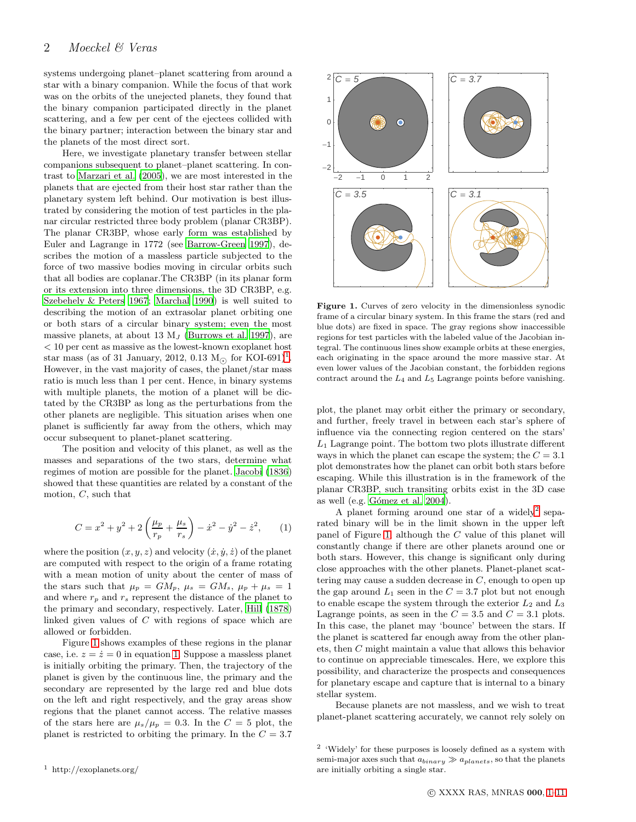systems undergoing planet–planet scattering from around a star with a binary companion. While the focus of that work was on the orbits of the unejected planets, they found that the binary companion participated directly in the planet scattering, and a few per cent of the ejectees collided with the binary partner; interaction between the binary star and the planets of the most direct sort.

Here, we investigate planetary transfer between stellar companions subsequent to planet–planet scattering. In contrast to [Marzari et al. \(2005](#page-10-11)), we are most interested in the planets that are ejected from their host star rather than the planetary system left behind. Our motivation is best illustrated by considering the motion of test particles in the planar circular restricted three body problem (planar CR3BP). The planar CR3BP, whose early form was established by Euler and Lagrange in 1772 (see [Barrow-Green 1997\)](#page-9-1), describes the motion of a massless particle subjected to the force of two massive bodies moving in circular orbits such that all bodies are coplanar.The CR3BP (in its planar form or its extension into three dimensions, the 3D CR3BP, e.g. [Szebehely & Peters 1967;](#page-10-12) [Marchal 1990](#page-10-13)) is well suited to describing the motion of an extrasolar planet orbiting one or both stars of a circular binary system; even the most massive planets, at about 13  $M_J$  [\(Burrows et al. 1997](#page-9-2)), are < 10 per cent as massive as the lowest-known exoplanet host star mass (as of 3[1](#page-1-0) January, 2012, 0.13  $M_{\odot}$  for KOI-691)<sup>1</sup>. However, in the vast majority of cases, the planet/star mass ratio is much less than 1 per cent. Hence, in binary systems with multiple planets, the motion of a planet will be dictated by the CR3BP as long as the perturbations from the other planets are negligible. This situation arises when one planet is sufficiently far away from the others, which may occur subsequent to planet-planet scattering.

The position and velocity of this planet, as well as the masses and separations of the two stars, determine what regimes of motion are possible for the planet. [Jacobi \(1836](#page-10-14)) showed that these quantities are related by a constant of the motion, C, such that

<span id="page-1-2"></span>
$$
C = x^{2} + y^{2} + 2\left(\frac{\mu_{p}}{r_{p}} + \frac{\mu_{s}}{r_{s}}\right) - \dot{x}^{2} - \dot{y}^{2} - \dot{z}^{2}, \qquad (1)
$$

where the position  $(x, y, z)$  and velocity  $(\dot{x}, \dot{y}, \dot{z})$  of the planet are computed with respect to the origin of a frame rotating with a mean motion of unity about the center of mass of the stars such that  $\mu_p = GM_p$ ,  $\mu_s = GM_s$ ,  $\mu_p + \mu_s = 1$ and where  $r_p$  and  $r_s$  represent the distance of the planet to the primary and secondary, respectively. Later, [Hill \(1878](#page-10-15)) linked given values of C with regions of space which are allowed or forbidden.

Figure [1](#page-1-1) shows examples of these regions in the planar case, i.e.  $z = \dot{z} = 0$  in equation [1.](#page-1-2) Suppose a massless planet is initially orbiting the primary. Then, the trajectory of the planet is given by the continuous line, the primary and the secondary are represented by the large red and blue dots on the left and right respectively, and the gray areas show regions that the planet cannot access. The relative masses of the stars here are  $\mu_s/\mu_p = 0.3$ . In the  $C = 5$  plot, the planet is restricted to orbiting the primary. In the  $C = 3.7$ 



<span id="page-1-1"></span>Figure 1. Curves of zero velocity in the dimensionless synodic frame of a circular binary system. In this frame the stars (red and blue dots) are fixed in space. The gray regions show inaccessible regions for test particles with the labeled value of the Jacobian integral. The continuous lines show example orbits at these energies, each originating in the space around the more massive star. At even lower values of the Jacobian constant, the forbidden regions contract around the  $L_4$  and  $L_5$  Lagrange points before vanishing.

plot, the planet may orbit either the primary or secondary, and further, freely travel in between each star's sphere of influence via the connecting region centered on the stars'  $L_1$  Lagrange point. The bottom two plots illustrate different ways in which the planet can escape the system; the  $C = 3.1$ plot demonstrates how the planet can orbit both stars before escaping. While this illustration is in the framework of the planar CR3BP, such transiting orbits exist in the 3D case as well (e.g. Gómez et al. 2004).

A planet forming around one star of a widely<sup>[2](#page-1-3)</sup> separated binary will be in the limit shown in the upper left panel of Figure [1,](#page-1-1) although the C value of this planet will constantly change if there are other planets around one or both stars. However, this change is significant only during close approaches with the other planets. Planet-planet scattering may cause a sudden decrease in  $C$ , enough to open up the gap around  $L_1$  seen in the  $C = 3.7$  plot but not enough to enable escape the system through the exterior  $L_2$  and  $L_3$ Lagrange points, as seen in the  $C = 3.5$  and  $C = 3.1$  plots. In this case, the planet may 'bounce' between the stars. If the planet is scattered far enough away from the other planets, then C might maintain a value that allows this behavior to continue on appreciable timescales. Here, we explore this possibility, and characterize the prospects and consequences for planetary escape and capture that is internal to a binary stellar system.

Because planets are not massless, and we wish to treat planet-planet scattering accurately, we cannot rely solely on

<span id="page-1-3"></span><sup>2</sup> 'Widely' for these purposes is loosely defined as a system with semi-major axes such that  $a_{binary} \gg a_{planets}$ , so that the planets are initially orbiting a single star.

<span id="page-1-0"></span><sup>1</sup> http://exoplanets.org/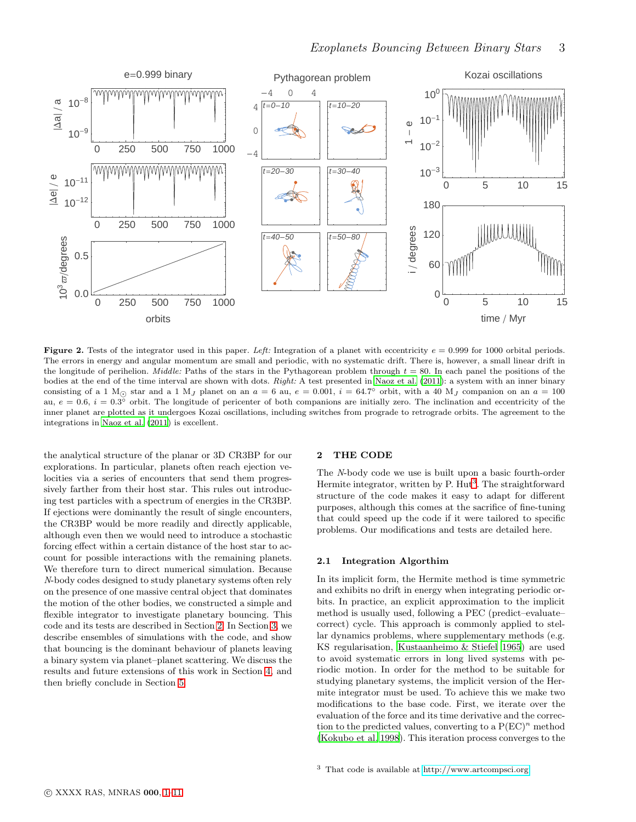

<span id="page-2-2"></span>Figure 2. Tests of the integrator used in this paper. Left: Integration of a planet with eccentricity  $e = 0.999$  for 1000 orbital periods. The errors in energy and angular momentum are small and periodic, with no systematic drift. There is, however, a small linear drift in the longitude of perihelion. *Middle:* Paths of the stars in the Pythagorean problem through  $t = 80$ . In each panel the positions of the bodies at the end of the time interval are shown with dots. Right: A test presented in [Naoz et al. \(2011](#page-10-17)): a system with an inner binary consisting of a 1 M<sub>☉</sub> star and a 1 M<sub>J</sub> planet on an  $a = 6$  au,  $e = 0.001$ ,  $i = 64.7^{\circ}$  orbit, with a 40 M<sub>J</sub> companion on an  $a = 100$ au,  $e = 0.6$ ,  $i = 0.3^{\circ}$  orbit. The longitude of pericenter of both companions are initially zero. The inclination and eccentricity of the inner planet are plotted as it undergoes Kozai oscillations, including switches from prograde to retrograde orbits. The agreement to the integrations in [Naoz et al. \(2011\)](#page-10-17) is excellent.

the analytical structure of the planar or 3D CR3BP for our explorations. In particular, planets often reach ejection velocities via a series of encounters that send them progressively farther from their host star. This rules out introducing test particles with a spectrum of energies in the CR3BP. If ejections were dominantly the result of single encounters, the CR3BP would be more readily and directly applicable, although even then we would need to introduce a stochastic forcing effect within a certain distance of the host star to account for possible interactions with the remaining planets. We therefore turn to direct numerical simulation. Because N-body codes designed to study planetary systems often rely on the presence of one massive central object that dominates the motion of the other bodies, we constructed a simple and flexible integrator to investigate planetary bouncing. This code and its tests are described in Section [2.](#page-2-0) In Section [3,](#page-3-0) we describe ensembles of simulations with the code, and show that bouncing is the dominant behaviour of planets leaving a binary system via planet–planet scattering. We discuss the results and future extensions of this work in Section [4,](#page-8-0) and then briefly conclude in Section [5.](#page-9-3)

### <span id="page-2-0"></span>2 THE CODE

The N-body code we use is built upon a basic fourth-order Hermite integrator, written by P. Hut<sup>[3](#page-2-1)</sup>. The straightforward structure of the code makes it easy to adapt for different purposes, although this comes at the sacrifice of fine-tuning that could speed up the code if it were tailored to specific problems. Our modifications and tests are detailed here.

#### 2.1 Integration Algorthim

<span id="page-2-1"></span>In its implicit form, the Hermite method is time symmetric and exhibits no drift in energy when integrating periodic orbits. In practice, an explicit approximation to the implicit method is usually used, following a PEC (predict–evaluate– correct) cycle. This approach is commonly applied to stellar dynamics problems, where supplementary methods (e.g. KS regularisation, [Kustaanheimo & Stiefel 1965\)](#page-10-18) are used to avoid systematic errors in long lived systems with periodic motion. In order for the method to be suitable for studying planetary systems, the implicit version of the Hermite integrator must be used. To achieve this we make two modifications to the base code. First, we iterate over the evaluation of the force and its time derivative and the correction to the predicted values, converting to a  $P(EC)^n$  method [\(Kokubo et al. 1998](#page-10-19)). This iteration process converges to the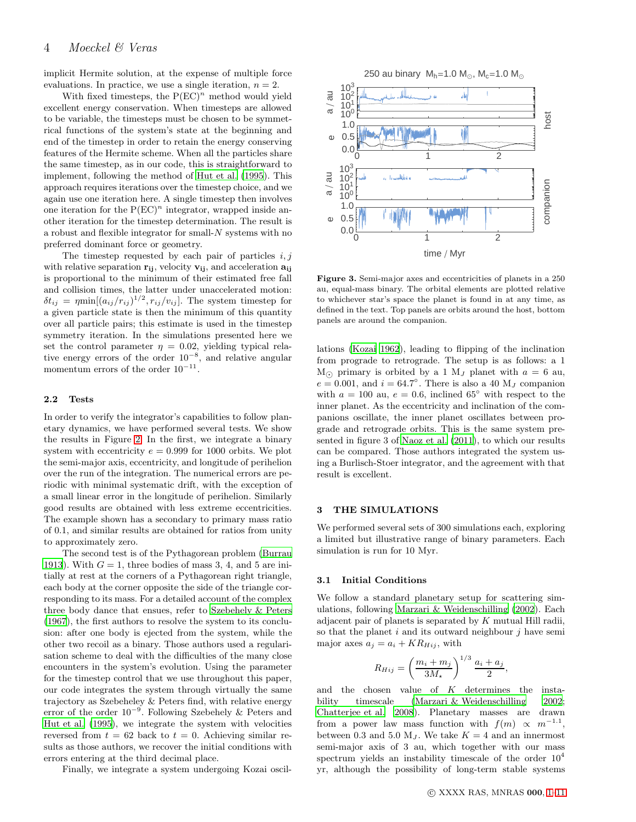implicit Hermite solution, at the expense of multiple force evaluations. In practice, we use a single iteration,  $n = 2$ .

With fixed timesteps, the  $P(EC)^n$  method would yield excellent energy conservation. When timesteps are allowed to be variable, the timesteps must be chosen to be symmetrical functions of the system's state at the beginning and end of the timestep in order to retain the energy conserving features of the Hermite scheme. When all the particles share the same timestep, as in our code, this is straightforward to implement, following the method of [Hut et al. \(1995\)](#page-10-20). This approach requires iterations over the timestep choice, and we again use one iteration here. A single timestep then involves one iteration for the  $P(EC)^n$  integrator, wrapped inside another iteration for the timestep determination. The result is a robust and flexible integrator for small-N systems with no preferred dominant force or geometry.

The timestep requested by each pair of particles  $i, j$ with relative separation  $r_{ii}$ , velocity  $v_{ii}$ , and acceleration  $a_{ii}$ is proportional to the minimum of their estimated free fall and collision times, the latter under unaccelerated motion:  $\delta t_{ij} = \eta \min[(a_{ij}/r_{ij})^{1/2}, r_{ij}/v_{ij}]$ . The system timestep for a given particle state is then the minimum of this quantity over all particle pairs; this estimate is used in the timestep symmetry iteration. In the simulations presented here we set the control parameter  $\eta = 0.02$ , yielding typical relative energy errors of the order 10<sup>−</sup><sup>8</sup> , and relative angular momentum errors of the order  $10^{-11}$ .

#### 2.2 Tests

In order to verify the integrator's capabilities to follow planetary dynamics, we have performed several tests. We show the results in Figure [2.](#page-2-2) In the first, we integrate a binary system with eccentricity  $e = 0.999$  for 1000 orbits. We plot the semi-major axis, eccentricity, and longitude of perihelion over the run of the integration. The numerical errors are periodic with minimal systematic drift, with the exception of a small linear error in the longitude of perihelion. Similarly good results are obtained with less extreme eccentricities. The example shown has a secondary to primary mass ratio of 0.1, and similar results are obtained for ratios from unity to approximately zero.

The second test is of the Pythagorean problem [\(Burrau](#page-9-4) [1913](#page-9-4)). With  $G = 1$ , three bodies of mass 3, 4, and 5 are initially at rest at the corners of a Pythagorean right triangle, each body at the corner opposite the side of the triangle corresponding to its mass. For a detailed account of the complex three body dance that ensues, refer to [Szebehely & Peters](#page-10-12) [\(1967](#page-10-12)), the first authors to resolve the system to its conclusion: after one body is ejected from the system, while the other two recoil as a binary. Those authors used a regularisation scheme to deal with the difficulties of the many close encounters in the system's evolution. Using the parameter for the timestep control that we use throughout this paper, our code integrates the system through virtually the same trajectory as Szebeheley & Peters find, with relative energy error of the order 10<sup>−</sup><sup>9</sup> . Following Szebehely & Peters and [Hut et al. \(1995\)](#page-10-20), we integrate the system with velocities reversed from  $t = 62$  back to  $t = 0$ . Achieving similar results as those authors, we recover the initial conditions with errors entering at the third decimal place.

Finally, we integrate a system undergoing Kozai oscil-



<span id="page-3-1"></span>Figure 3. Semi-major axes and eccentricities of planets in a 250 au, equal-mass binary. The orbital elements are plotted relative to whichever star's space the planet is found in at any time, as defined in the text. Top panels are orbits around the host, bottom panels are around the companion.

lations [\(Kozai 1962](#page-10-21)), leading to flipping of the inclination from prograde to retrograde. The setup is as follows: a 1  $M_{\odot}$  primary is orbited by a 1  $M_J$  planet with  $a = 6$  au,  $e = 0.001$ , and  $i = 64.7^{\circ}$ . There is also a 40 M<sub>J</sub> companion with  $a = 100$  au,  $e = 0.6$ , inclined 65<sup>°</sup> with respect to the inner planet. As the eccentricity and inclination of the companions oscillate, the inner planet oscillates between prograde and retrograde orbits. This is the same system presented in figure 3 of [Naoz et al. \(2011\)](#page-10-17), to which our results can be compared. Those authors integrated the system using a Burlisch-Stoer integrator, and the agreement with that result is excellent.

#### <span id="page-3-0"></span>3 THE SIMULATIONS

We performed several sets of 300 simulations each, exploring a limited but illustrative range of binary parameters. Each simulation is run for 10 Myr.

### 3.1 Initial Conditions

We follow a standard planetary setup for scattering simulations, following [Marzari & Weidenschilling \(2002\)](#page-10-22). Each adjacent pair of planets is separated by  $K$  mutual Hill radii, so that the planet  $i$  and its outward neighbour  $j$  have semi major axes  $a_j = a_i + KR_{Hij}$ , with

$$
R_{Hij} = \left(\frac{m_i + m_j}{3M_{\star}}\right)^{1/3} \frac{a_i + a_j}{2},
$$

and the chosen value of K determines the instability timescale [\(Marzari & Weidenschilling 2002](#page-10-22); [Chatterjee et al. 2008](#page-10-23)). Planetary masses are drawn from a power law mass function with  $f(m) \propto m^{-1.1}$ , between 0.3 and 5.0  $M_J$ . We take  $K = 4$  and an innermost semi-major axis of 3 au, which together with our mass spectrum yields an instability timescale of the order  $10^4$ yr, although the possibility of long-term stable systems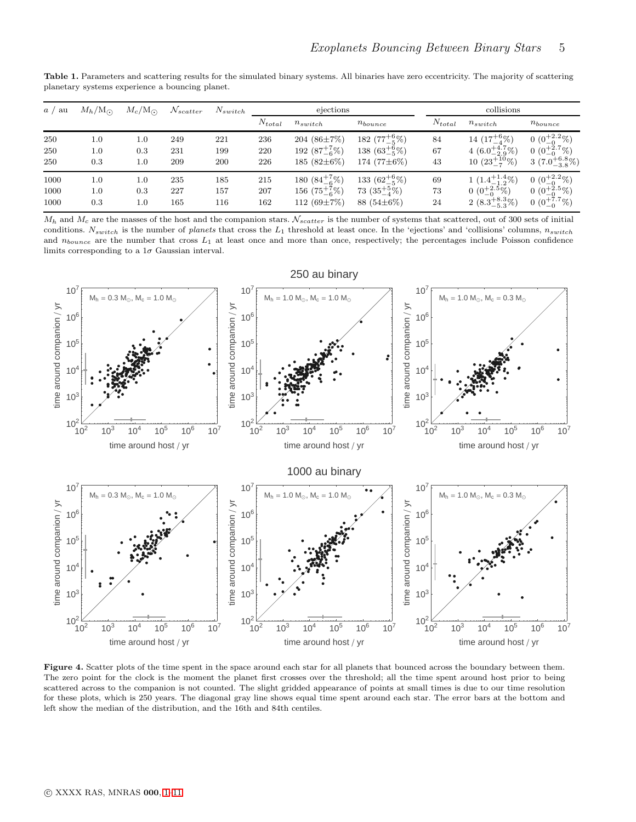| a / au | $M_h/M_{\odot}$ | $M_c/M_{\odot}$ | $\mathcal{N}_{scatter}$ | $N_{switch}$ | ejections   |                        |                        | collisions  |                           |                           |
|--------|-----------------|-----------------|-------------------------|--------------|-------------|------------------------|------------------------|-------------|---------------------------|---------------------------|
|        |                 |                 |                         |              | $N_{total}$ | $n_{switch}$           | $n_{bounce}$           | $N_{total}$ | $n_{switch}$              | $n_{bounce}$              |
| 250    | $1.0\,$         | $1.0\,$         | 249                     | 221          | 236         | 204 $(86\pm7\%)$       | 182 $(77^{+6}_{-5}\%)$ | 84          | 14 $(17^{+6}_{-4}\%)$     | $0(0^{+2.2}_{-0}\%)$      |
| 250    | 1.0             | 0.3             | 231                     | 199          | 220         | 192 $(87^{+7}_{-6}\%)$ | 138 $(63^{+6}_{-5}\%)$ | 67          | 4 $(6.0^{+4.7}_{-2.9})\%$ | $0(0^{+2.7}_{-0}\%)$      |
| 250    | 0.3             | 1.0             | 209                     | 200          | 226         | 185 $(82\pm6\%)$       | 174 $(77\pm6\%)$       | 43          | 10 $(23^{+10}_{-7})\%$    | 3 $(7.0^{+6.8}_{-3.8})\%$ |
| 1000   | 1.0             | 1.0             | 235                     | 185          | 215         | 180 $(84^{+7}_{-6}\%)$ | 133 $(62^{+6}_{-5}\%)$ | 69          | $1(1.4^{+1.4}_{-1.2})\%)$ | $0(0^{+2.2}_{-0}\%)$      |
| 1000   | $1.0\,$         | 0.3             | 227                     | 157          | 207         | 156 $(75^{+7}_{-6}\%)$ | 73 $(35^{+5}_{-4}\%)$  | 73          | 0 $(0^{+2.5}_{-0}\%)$     | 0 $(0^{+2.5}_{-0}\%)$     |
| 1000   | 0.3             | 1.0             | 165                     | 116          | 162         | 112 $(69\pm7\%)$       | 88 $(54\pm6\%)$        | 24          | 2 $(8.3^{+8.3}_{-5.3})\%$ | $0(0^{+7.7}_{-0}\%)$      |

<span id="page-4-0"></span>Table 1. Parameters and scattering results for the simulated binary systems. All binaries have zero eccentricity. The majority of scattering planetary systems experience a bouncing planet.

 $M_h$  and  $M_c$  are the masses of the host and the companion stars.  $N_{scatter}$  is the number of systems that scattered, out of 300 sets of initial conditions.  $N_{switch}$  is the number of planets that cross the  $L_1$  threshold at least once. In the 'ejections' and 'collisions' columns,  $n_{switch}$ and  $n_{bounce}$  are the number that cross  $L_1$  at least once and more than once, respectively; the percentages include Poisson confidence limits corresponding to a  $1\sigma$  Gaussian interval.



<span id="page-4-1"></span>Figure 4. Scatter plots of the time spent in the space around each star for all planets that bounced across the boundary between them. The zero point for the clock is the moment the planet first crosses over the threshold; all the time spent around host prior to being scattered across to the companion is not counted. The slight gridded appearance of points at small times is due to our time resolution for these plots, which is 250 years. The diagonal gray line shows equal time spent around each star. The error bars at the bottom and left show the median of the distribution, and the 16th and 84th centiles.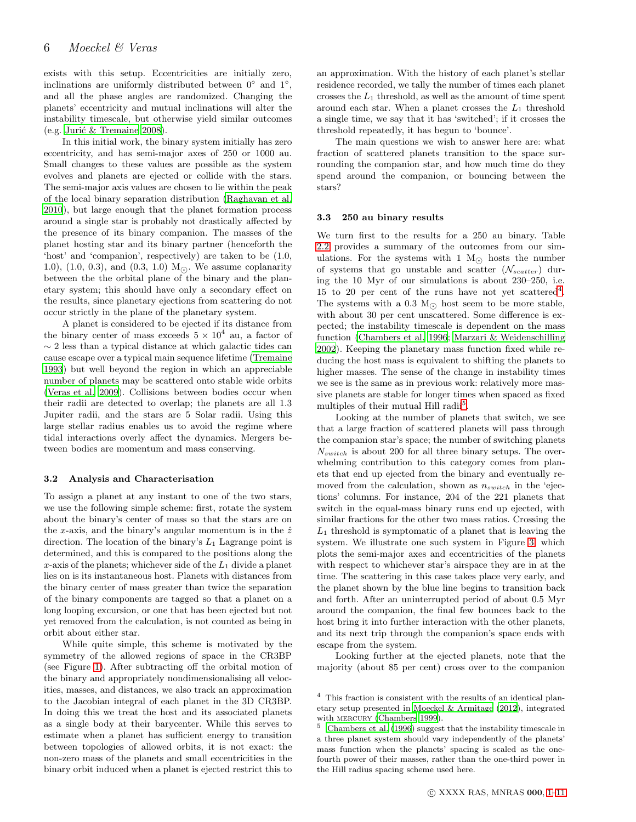exists with this setup. Eccentricities are initially zero, inclinations are uniformly distributed between  $0°$  and  $1°$ , and all the phase angles are randomized. Changing the planets' eccentricity and mutual inclinations will alter the instability timescale, but otherwise yield similar outcomes  $(e.g.$  Jurić & Tremaine 2008).

In this initial work, the binary system initially has zero eccentricity, and has semi-major axes of 250 or 1000 au. Small changes to these values are possible as the system evolves and planets are ejected or collide with the stars. The semi-major axis values are chosen to lie within the peak of the local binary separation distribution [\(Raghavan et al.](#page-10-10) [2010](#page-10-10)), but large enough that the planet formation process around a single star is probably not drastically affected by the presence of its binary companion. The masses of the planet hosting star and its binary partner (henceforth the 'host' and 'companion', respectively) are taken to be (1.0, 1.0), (1.0, 0.3), and (0.3, 1.0)  $M_{\odot}$ . We assume coplanarity between the the orbital plane of the binary and the planetary system; this should have only a secondary effect on the results, since planetary ejections from scattering do not occur strictly in the plane of the planetary system.

A planet is considered to be ejected if its distance from the binary center of mass exceeds  $5 \times 10^4$  au, a factor of  $\sim$  2 less than a typical distance at which galactic tides can cause escape over a typical main sequence lifetime [\(Tremaine](#page-10-25) [1993](#page-10-25)) but well beyond the region in which an appreciable number of planets may be scattered onto stable wide orbits [\(Veras et al. 2009](#page-10-26)). Collisions between bodies occur when their radii are detected to overlap; the planets are all 1.3 Jupiter radii, and the stars are 5 Solar radii. Using this large stellar radius enables us to avoid the regime where tidal interactions overly affect the dynamics. Mergers between bodies are momentum and mass conserving.

#### 3.2 Analysis and Characterisation

To assign a planet at any instant to one of the two stars, we use the following simple scheme: first, rotate the system about the binary's center of mass so that the stars are on the x-axis, and the binary's angular momentum is in the  $\hat{z}$ direction. The location of the binary's  $L_1$  Lagrange point is determined, and this is compared to the positions along the  $x$ -axis of the planets; whichever side of the  $L_1$  divide a planet lies on is its instantaneous host. Planets with distances from the binary center of mass greater than twice the separation of the binary components are tagged so that a planet on a long looping excursion, or one that has been ejected but not yet removed from the calculation, is not counted as being in orbit about either star.

While quite simple, this scheme is motivated by the symmetry of the allowed regions of space in the CR3BP (see Figure [1\)](#page-1-1). After subtracting off the orbital motion of the binary and appropriately nondimensionalising all velocities, masses, and distances, we also track an approximation to the Jacobian integral of each planet in the 3D CR3BP. In doing this we treat the host and its associated planets as a single body at their barycenter. While this serves to estimate when a planet has sufficient energy to transition between topologies of allowed orbits, it is not exact: the non-zero mass of the planets and small eccentricities in the binary orbit induced when a planet is ejected restrict this to an approximation. With the history of each planet's stellar residence recorded, we tally the number of times each planet crosses the  $L_1$  threshold, as well as the amount of time spent around each star. When a planet crosses the  $L_1$  threshold a single time, we say that it has 'switched'; if it crosses the threshold repeatedly, it has begun to 'bounce'.

The main questions we wish to answer here are: what fraction of scattered planets transition to the space surrounding the companion star, and how much time do they spend around the companion, or bouncing between the stars?

#### 3.3 250 au binary results

We turn first to the results for a 250 au binary. Table [2.2](#page-4-0) provides a summary of the outcomes from our simulations. For the systems with 1  $M_{\odot}$  hosts the number of systems that go unstable and scatter  $(\mathcal{N}_{scatter})$  during the 10 Myr of our simulations is about 230–250, i.e. 15 to 20 per cent of the runs have not yet scattered<sup>[4](#page-5-0)</sup>. The systems with a 0.3 M<sub> $\odot$ </sub> host seem to be more stable, with about 30 per cent unscattered. Some difference is expected; the instability timescale is dependent on the mass function [\(Chambers et al. 1996](#page-10-27); [Marzari & Weidenschilling](#page-10-22) [2002](#page-10-22)). Keeping the planetary mass function fixed while reducing the host mass is equivalent to shifting the planets to higher masses. The sense of the change in instability times we see is the same as in previous work: relatively more massive planets are stable for longer times when spaced as fixed multiples of their mutual Hill radii<sup>[5](#page-5-1)</sup>.

Looking at the number of planets that switch, we see that a large fraction of scattered planets will pass through the companion star's space; the number of switching planets  $N_{switch}$  is about 200 for all three binary setups. The overwhelming contribution to this category comes from planets that end up ejected from the binary and eventually removed from the calculation, shown as  $n_{switch}$  in the 'ejections' columns. For instance, 204 of the 221 planets that switch in the equal-mass binary runs end up ejected, with similar fractions for the other two mass ratios. Crossing the  $L_1$  threshold is symptomatic of a planet that is leaving the system. We illustrate one such system in Figure [3,](#page-3-1) which plots the semi-major axes and eccentricities of the planets with respect to whichever star's airspace they are in at the time. The scattering in this case takes place very early, and the planet shown by the blue line begins to transition back and forth. After an uninterrupted period of about 0.5 Myr around the companion, the final few bounces back to the host bring it into further interaction with the other planets, and its next trip through the companion's space ends with escape from the system.

Looking further at the ejected planets, note that the majority (about 85 per cent) cross over to the companion

<span id="page-5-0"></span><sup>4</sup> This fraction is consistent with the results of an identical planetary setup presented in [Moeckel & Armitage \(2012](#page-10-28)), integrated with MERCURY [\(Chambers 1999](#page-10-29)).

<span id="page-5-1"></span> $5$  [Chambers et al. \(1996](#page-10-27)) suggest that the instability timescale in a three planet system should vary independently of the planets' mass function when the planets' spacing is scaled as the onefourth power of their masses, rather than the one-third power in the Hill radius spacing scheme used here.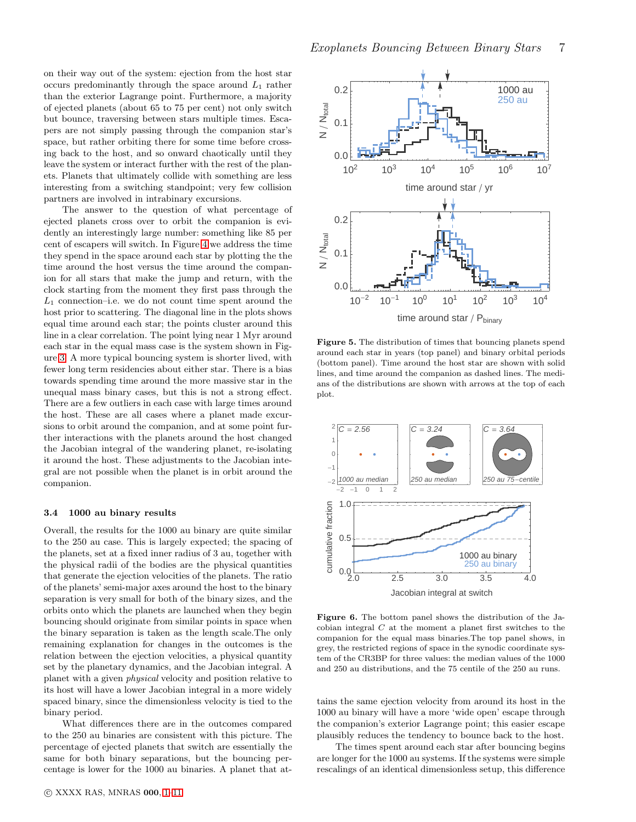on their way out of the system: ejection from the host star occurs predominantly through the space around  $L_1$  rather than the exterior Lagrange point. Furthermore, a majority of ejected planets (about 65 to 75 per cent) not only switch but bounce, traversing between stars multiple times. Escapers are not simply passing through the companion star's space, but rather orbiting there for some time before crossing back to the host, and so onward chaotically until they leave the system or interact further with the rest of the planets. Planets that ultimately collide with something are less interesting from a switching standpoint; very few collision partners are involved in intrabinary excursions.

The answer to the question of what percentage of ejected planets cross over to orbit the companion is evidently an interestingly large number: something like 85 per cent of escapers will switch. In Figure [4](#page-4-1) we address the time they spend in the space around each star by plotting the the time around the host versus the time around the companion for all stars that make the jump and return, with the clock starting from the moment they first pass through the  $L_1$  connection–i.e. we do not count time spent around the host prior to scattering. The diagonal line in the plots shows equal time around each star; the points cluster around this line in a clear correlation. The point lying near 1 Myr around each star in the equal mass case is the system shown in Figure [3.](#page-3-1) A more typical bouncing system is shorter lived, with fewer long term residencies about either star. There is a bias towards spending time around the more massive star in the unequal mass binary cases, but this is not a strong effect. There are a few outliers in each case with large times around the host. These are all cases where a planet made excursions to orbit around the companion, and at some point further interactions with the planets around the host changed the Jacobian integral of the wandering planet, re-isolating it around the host. These adjustments to the Jacobian integral are not possible when the planet is in orbit around the companion.

# 3.4 1000 au binary results

Overall, the results for the 1000 au binary are quite similar to the 250 au case. This is largely expected; the spacing of the planets, set at a fixed inner radius of 3 au, together with the physical radii of the bodies are the physical quantities that generate the ejection velocities of the planets. The ratio of the planets' semi-major axes around the host to the binary separation is very small for both of the binary sizes, and the orbits onto which the planets are launched when they begin bouncing should originate from similar points in space when the binary separation is taken as the length scale.The only remaining explanation for changes in the outcomes is the relation between the ejection velocities, a physical quantity set by the planetary dynamics, and the Jacobian integral. A planet with a given physical velocity and position relative to its host will have a lower Jacobian integral in a more widely spaced binary, since the dimensionless velocity is tied to the binary period.

What differences there are in the outcomes compared to the 250 au binaries are consistent with this picture. The percentage of ejected planets that switch are essentially the same for both binary separations, but the bouncing percentage is lower for the 1000 au binaries. A planet that at-



<span id="page-6-0"></span>Figure 5. The distribution of times that bouncing planets spend around each star in years (top panel) and binary orbital periods (bottom panel). Time around the host star are shown with solid lines, and time around the companion as dashed lines. The medians of the distributions are shown with arrows at the top of each plot.



<span id="page-6-1"></span>Figure 6. The bottom panel shows the distribution of the Jacobian integral  $C$  at the moment a planet first switches to the companion for the equal mass binaries.The top panel shows, in grey, the restricted regions of space in the synodic coordinate system of the CR3BP for three values: the median values of the 1000 and 250 au distributions, and the 75 centile of the 250 au runs.

tains the same ejection velocity from around its host in the 1000 au binary will have a more 'wide open' escape through the companion's exterior Lagrange point; this easier escape plausibly reduces the tendency to bounce back to the host.

The times spent around each star after bouncing begins are longer for the 1000 au systems. If the systems were simple rescalings of an identical dimensionless setup, this difference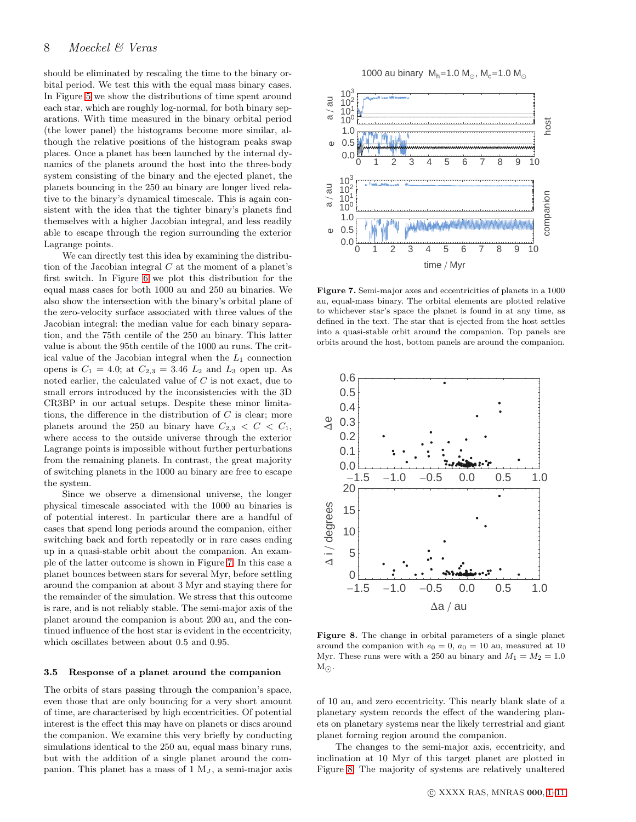should be eliminated by rescaling the time to the binary orbital period. We test this with the equal mass binary cases. In Figure [5](#page-6-0) we show the distributions of time spent around each star, which are roughly log-normal, for both binary separations. With time measured in the binary orbital period (the lower panel) the histograms become more similar, although the relative positions of the histogram peaks swap places. Once a planet has been launched by the internal dynamics of the planets around the host into the three-body system consisting of the binary and the ejected planet, the planets bouncing in the 250 au binary are longer lived relative to the binary's dynamical timescale. This is again consistent with the idea that the tighter binary's planets find themselves with a higher Jacobian integral, and less readily able to escape through the region surrounding the exterior Lagrange points.

We can directly test this idea by examining the distribution of the Jacobian integral  $C$  at the moment of a planet's first switch. In Figure [6](#page-6-1) we plot this distribution for the equal mass cases for both 1000 au and 250 au binaries. We also show the intersection with the binary's orbital plane of the zero-velocity surface associated with three values of the Jacobian integral: the median value for each binary separation, and the 75th centile of the 250 au binary. This latter value is about the 95th centile of the 1000 au runs. The critical value of the Jacobian integral when the  $L_1$  connection opens is  $C_1 = 4.0$ ; at  $C_{2,3} = 3.46$   $L_2$  and  $L_3$  open up. As noted earlier, the calculated value of  $C$  is not exact, due to small errors introduced by the inconsistencies with the 3D CR3BP in our actual setups. Despite these minor limitations, the difference in the distribution of  $C$  is clear; more planets around the 250 au binary have  $C_{2,3} < C < C_1$ , where access to the outside universe through the exterior Lagrange points is impossible without further perturbations from the remaining planets. In contrast, the great majority of switching planets in the 1000 au binary are free to escape the system.

Since we observe a dimensional universe, the longer physical timescale associated with the 1000 au binaries is of potential interest. In particular there are a handful of cases that spend long periods around the companion, either switching back and forth repeatedly or in rare cases ending up in a quasi-stable orbit about the companion. An example of the latter outcome is shown in Figure [7.](#page-7-0) In this case a planet bounces between stars for several Myr, before settling around the companion at about 3 Myr and staying there for the remainder of the simulation. We stress that this outcome is rare, and is not reliably stable. The semi-major axis of the planet around the companion is about 200 au, and the continued influence of the host star is evident in the eccentricity, which oscillates between about 0.5 and 0.95.

#### <span id="page-7-2"></span>3.5 Response of a planet around the companion

The orbits of stars passing through the companion's space, even those that are only bouncing for a very short amount of time, are characterised by high eccentricities. Of potential interest is the effect this may have on planets or discs around the companion. We examine this very briefly by conducting simulations identical to the 250 au, equal mass binary runs, but with the addition of a single planet around the companion. This planet has a mass of  $1 \, M_J$ , a semi-major axis 1000 au binary  $M_h = 1.0 M_{\odot}$ ,  $M_c = 1.0 M_{\odot}$ 



<span id="page-7-0"></span>Figure 7. Semi-major axes and eccentricities of planets in a 1000 au, equal-mass binary. The orbital elements are plotted relative to whichever star's space the planet is found in at any time, as defined in the text. The star that is ejected from the host settles into a quasi-stable orbit around the companion. Top panels are orbits around the host, bottom panels are around the companion.



<span id="page-7-1"></span>Figure 8. The change in orbital parameters of a single planet around the companion with  $e_0 = 0$ ,  $a_0 = 10$  au, measured at 10 Myr. These runs were with a 250 au binary and  $M_1 = M_2 = 1.0$  $M_{\odot}$ .

of 10 au, and zero eccentricity. This nearly blank slate of a planetary system records the effect of the wandering planets on planetary systems near the likely terrestrial and giant planet forming region around the companion.

The changes to the semi-major axis, eccentricity, and inclination at 10 Myr of this target planet are plotted in Figure [8.](#page-7-1) The majority of systems are relatively unaltered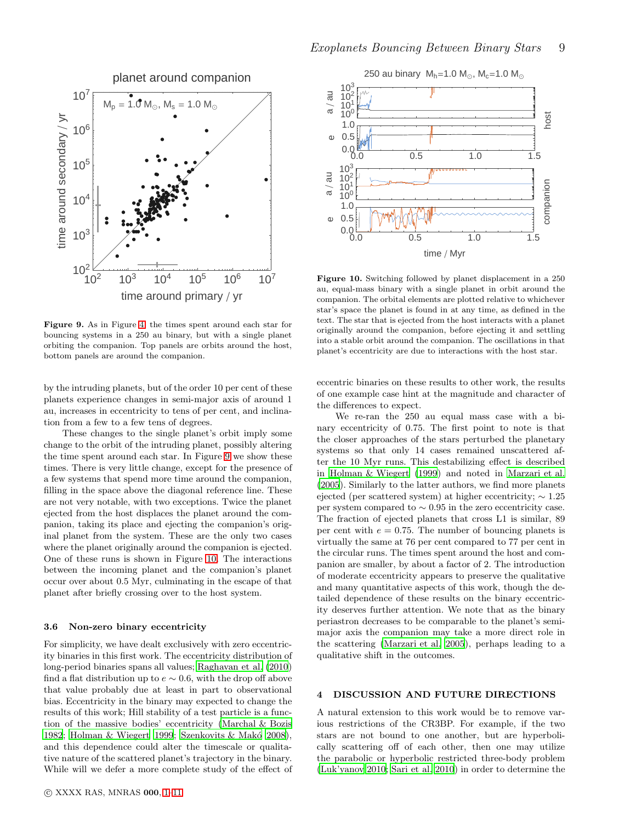



<span id="page-8-1"></span>Figure 9. As in Figure [4,](#page-4-1) the times spent around each star for bouncing systems in a 250 au binary, but with a single planet orbiting the companion. Top panels are orbits around the host, bottom panels are around the companion.

by the intruding planets, but of the order 10 per cent of these planets experience changes in semi-major axis of around 1 au, increases in eccentricity to tens of per cent, and inclination from a few to a few tens of degrees.

These changes to the single planet's orbit imply some change to the orbit of the intruding planet, possibly altering the time spent around each star. In Figure [9](#page-8-1) we show these times. There is very little change, except for the presence of a few systems that spend more time around the companion, filling in the space above the diagonal reference line. These are not very notable, with two exceptions. Twice the planet ejected from the host displaces the planet around the companion, taking its place and ejecting the companion's original planet from the system. These are the only two cases where the planet originally around the companion is ejected. One of these runs is shown in Figure [10.](#page-8-2) The interactions between the incoming planet and the companion's planet occur over about 0.5 Myr, culminating in the escape of that planet after briefly crossing over to the host system.

#### <span id="page-8-3"></span>3.6 Non-zero binary eccentricity

For simplicity, we have dealt exclusively with zero eccentricity binaries in this first work. The eccentricity distribution of long-period binaries spans all values; [Raghavan et al. \(2010](#page-10-10)) find a flat distribution up to  $e \sim 0.6$ , with the drop off above that value probably due at least in part to observational bias. Eccentricity in the binary may expected to change the results of this work; Hill stability of a test particle is a function of the massive bodies' eccentricity [\(Marchal & Bozis](#page-10-30) [1982](#page-10-30); [Holman & Wiegert 1999](#page-10-31); Szenkovits & Makó 2008), and this dependence could alter the timescale or qualitative nature of the scattered planet's trajectory in the binary. While will we defer a more complete study of the effect of



<span id="page-8-2"></span>Figure 10. Switching followed by planet displacement in a 250 au, equal-mass binary with a single planet in orbit around the companion. The orbital elements are plotted relative to whichever star's space the planet is found in at any time, as defined in the text. The star that is ejected from the host interacts with a planet originally around the companion, before ejecting it and settling into a stable orbit around the companion. The oscillations in that planet's eccentricity are due to interactions with the host star.

eccentric binaries on these results to other work, the results of one example case hint at the magnitude and character of the differences to expect.

We re-ran the 250 au equal mass case with a binary eccentricity of 0.75. The first point to note is that the closer approaches of the stars perturbed the planetary systems so that only 14 cases remained unscattered after the 10 Myr runs. This destabilizing effect is described in [Holman & Wiegert \(1999](#page-10-31)) and noted in [Marzari et al.](#page-10-11) [\(2005](#page-10-11)). Similarly to the latter authors, we find more planets ejected (per scattered system) at higher eccentricity;  $\sim 1.25$ per system compared to  $\sim 0.95$  in the zero eccentricity case. The fraction of ejected planets that cross L1 is similar, 89 per cent with  $e = 0.75$ . The number of bouncing planets is virtually the same at 76 per cent compared to 77 per cent in the circular runs. The times spent around the host and companion are smaller, by about a factor of 2. The introduction of moderate eccentricity appears to preserve the qualitative and many quantitative aspects of this work, though the detailed dependence of these results on the binary eccentricity deserves further attention. We note that as the binary periastron decreases to be comparable to the planet's semimajor axis the companion may take a more direct role in the scattering [\(Marzari et al. 2005](#page-10-11)), perhaps leading to a qualitative shift in the outcomes.

# <span id="page-8-0"></span>4 DISCUSSION AND FUTURE DIRECTIONS

A natural extension to this work would be to remove various restrictions of the CR3BP. For example, if the two stars are not bound to one another, but are hyperbolically scattering off of each other, then one may utilize the parabolic or hyperbolic restricted three-body problem [\(Luk'yanov 2010;](#page-10-33) [Sari et al. 2010](#page-10-34)) in order to determine the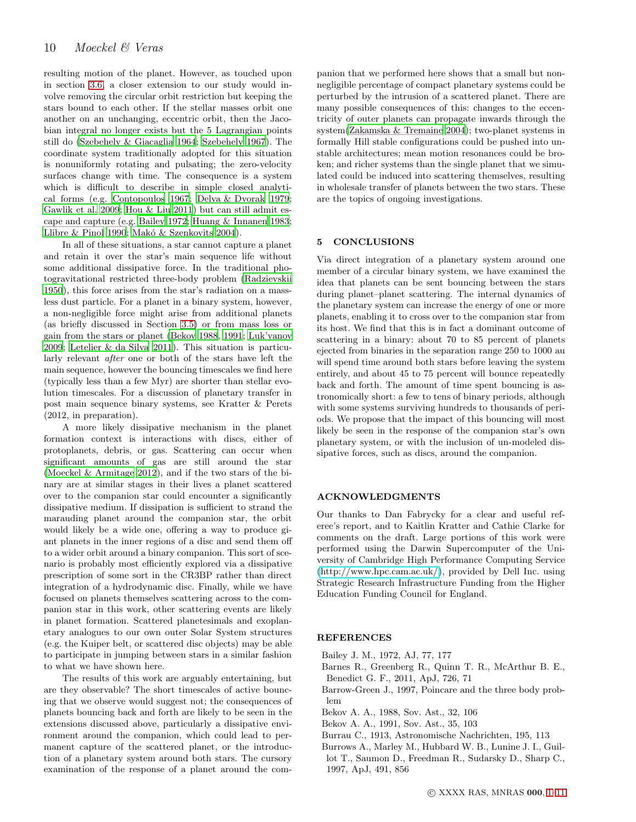resulting motion of the planet. However, as touched upon in section [3.6,](#page-8-3) a closer extension to our study would involve removing the circular orbit restriction but keeping the stars bound to each other. If the stellar masses orbit one another on an unchanging, eccentric orbit, then the Jacobian integral no longer exists but the 5 Lagrangian points still do [\(Szebehely & Giacaglia 1964;](#page-10-35) [Szebehely 1967\)](#page-10-36). The coordinate system traditionally adopted for this situation is nonuniformly rotating and pulsating; the zero-velocity surfaces change with time. The consequence is a system which is difficult to describe in simple closed analytical forms (e.g. [Contopoulos 1967](#page-10-37); [Delva & Dvorak 1979;](#page-10-38) [Gawlik et al. 2009](#page-10-39); [Hou & Liu 2011\)](#page-10-40) but can still admit escape and capture (e.g. [Bailey 1972](#page-9-5); [Huang & Innanen 1983;](#page-10-41) [Llibre & Pinol 1990;](#page-10-42) Makó & Szenkovits 2004).

In all of these situations, a star cannot capture a planet and retain it over the star's main sequence life without some additional dissipative force. In the traditional photogravitational restricted three-body problem [\(Radzievskii](#page-10-44) [1950](#page-10-44)), this force arises from the star's radiation on a massless dust particle. For a planet in a binary system, however, a non-negligible force might arise from additional planets (as briefly discussed in Section [3.5\)](#page-7-2) or from mass loss or gain from the stars or planet [\(Bekov 1988,](#page-9-6) [1991;](#page-9-7) [Luk'yanov](#page-10-45) [2009](#page-10-45); [Letelier & da Silva 2011](#page-10-46)). This situation is particularly relevant after one or both of the stars have left the main sequence, however the bouncing timescales we find here (typically less than a few Myr) are shorter than stellar evolution timescales. For a discussion of planetary transfer in post main sequence binary systems, see Kratter & Perets (2012, in preparation).

A more likely dissipative mechanism in the planet formation context is interactions with discs, either of protoplanets, debris, or gas. Scattering can occur when significant amounts of gas are still around the star [\(Moeckel & Armitage 2012\)](#page-10-28), and if the two stars of the binary are at similar stages in their lives a planet scattered over to the companion star could encounter a significantly dissipative medium. If dissipation is sufficient to strand the marauding planet around the companion star, the orbit would likely be a wide one, offering a way to produce giant planets in the inner regions of a disc and send them off to a wider orbit around a binary companion. This sort of scenario is probably most efficiently explored via a dissipative prescription of some sort in the CR3BP rather than direct integration of a hydrodynamic disc. Finally, while we have focused on planets themselves scattering across to the companion star in this work, other scattering events are likely in planet formation. Scattered planetesimals and exoplanetary analogues to our own outer Solar System structures (e.g. the Kuiper belt, or scattered disc objects) may be able to participate in jumping between stars in a similar fashion to what we have shown here.

The results of this work are arguably entertaining, but are they observable? The short timescales of active bouncing that we observe would suggest not; the consequences of planets bouncing back and forth are likely to be seen in the extensions discussed above, particularly a dissipative environment around the companion, which could lead to permanent capture of the scattered planet, or the introduction of a planetary system around both stars. The cursory examination of the response of a planet around the com-

panion that we performed here shows that a small but nonnegligible percentage of compact planetary systems could be perturbed by the intrusion of a scattered planet. There are many possible consequences of this: changes to the eccentricity of outer planets can propagate inwards through the system[\(Zakamska & Tremaine 2004\)](#page-10-47); two-planet systems in formally Hill stable configurations could be pushed into unstable architectures; mean motion resonances could be broken; and richer systems than the single planet that we simulated could be induced into scattering themselves, resulting in wholesale transfer of planets between the two stars. These are the topics of ongoing investigations.

# <span id="page-9-3"></span>5 CONCLUSIONS

Via direct integration of a planetary system around one member of a circular binary system, we have examined the idea that planets can be sent bouncing between the stars during planet–planet scattering. The internal dynamics of the planetary system can increase the energy of one or more planets, enabling it to cross over to the companion star from its host. We find that this is in fact a dominant outcome of scattering in a binary: about 70 to 85 percent of planets ejected from binaries in the separation range 250 to 1000 au will spend time around both stars before leaving the system entirely, and about 45 to 75 percent will bounce repeatedly back and forth. The amount of time spent bouncing is astronomically short: a few to tens of binary periods, although with some systems surviving hundreds to thousands of periods. We propose that the impact of this bouncing will most likely be seen in the response of the companion star's own planetary system, or with the inclusion of un-modeled dissipative forces, such as discs, around the companion.

# ACKNOWLEDGMENTS

Our thanks to Dan Fabrycky for a clear and useful referee's report, and to Kaitlin Kratter and Cathie Clarke for comments on the draft. Large portions of this work were performed using the Darwin Supercomputer of the University of Cambridge High Performance Computing Service [\(http://www.hpc.cam.ac.uk/\)](http://www.hpc.cam.ac.uk/), provided by Dell Inc. using Strategic Research Infrastructure Funding from the Higher Education Funding Council for England.

# **REFERENCES**

- <span id="page-9-5"></span>Bailey J. M., 1972, AJ, 77, 177
- <span id="page-9-0"></span>Barnes R., Greenberg R., Quinn T. R., McArthur B. E., Benedict G. F., 2011, ApJ, 726, 71
- <span id="page-9-1"></span>Barrow-Green J., 1997, Poincare and the three body problem
- <span id="page-9-6"></span>Bekov A. A., 1988, Sov. Ast., 32, 106
- <span id="page-9-7"></span>Bekov A. A., 1991, Sov. Ast., 35, 103
- <span id="page-9-4"></span>Burrau C., 1913, Astronomische Nachrichten, 195, 113
- <span id="page-9-2"></span>Burrows A., Marley M., Hubbard W. B., Lunine J. I., Guillot T., Saumon D., Freedman R., Sudarsky D., Sharp C., 1997, ApJ, 491, 856